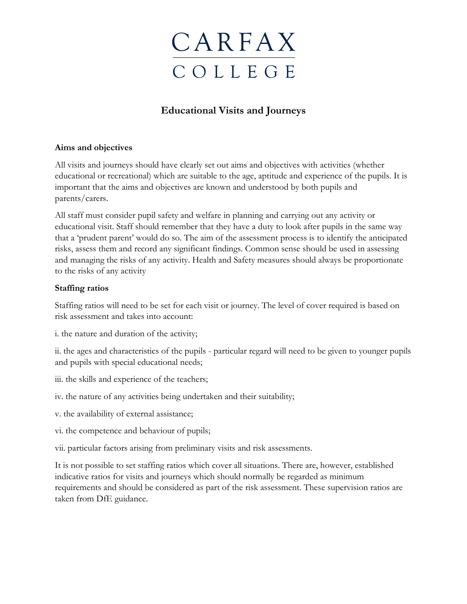### **Educational Visits and Journeys**

#### **Aims and objectives**

All visits and journeys should have clearly set out aims and objectives with activities (whether educational or recreational) which are suitable to the age, aptitude and experience of the pupils. It is important that the aims and objectives are known and understood by both pupils and parents/carers.

All staff must consider pupil safety and welfare in planning and carrying out any activity or educational visit. Staff should remember that they have a duty to look after pupils in the same way that a 'prudent parent' would do so. The aim of the assessment process is to identify the anticipated risks, assess them and record any significant findings. Common sense should be used in assessing and managing the risks of any activity. Health and Safety measures should always be proportionate to the risks of any activity

### **Staffing ratios**

Staffing ratios will need to be set for each visit or journey. The level of cover required is based on risk assessment and takes into account:

i. the nature and duration of the activity;

ii. the ages and characteristics of the pupils - particular regard will need to be given to younger pupils and pupils with special educational needs;

- iii. the skills and experience of the teachers;
- iv. the nature of any activities being undertaken and their suitability;
- v. the availability of external assistance;
- vi. the competence and behaviour of pupils;
- vii. particular factors arising from preliminary visits and risk assessments.

It is not possible to set staffing ratios which cover all situations. There are, however, established indicative ratios for visits and journeys which should normally be regarded as minimum requirements and should be considered as part of the risk assessment. These supervision ratios are taken from DfE guidance.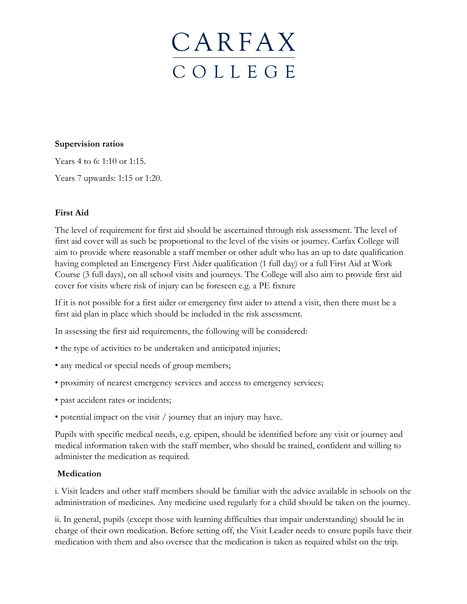#### **Supervision ratios**

Years 4 to 6: 1:10 or 1:15.

Years 7 upwards: 1:15 or 1:20.

### **First Aid**

The level of requirement for first aid should be ascertained through risk assessment. The level of first aid cover will as such be proportional to the level of the visits or journey. Carfax College will aim to provide where reasonable a staff member or other adult who has an up to date qualification having completed an Emergency First Aider qualification (1 full day) or a full First Aid at Work Course (3 full days), on all school visits and journeys. The College will also aim to provide first aid cover for visits where risk of injury can be foreseen e.g. a PE fixture

If it is not possible for a first aider or emergency first aider to attend a visit, then there must be a first aid plan in place which should be included in the risk assessment.

In assessing the first aid requirements, the following will be considered:

- the type of activities to be undertaken and anticipated injuries;
- any medical or special needs of group members;
- proximity of nearest emergency services and access to emergency services;
- past accident rates or incidents;
- potential impact on the visit / journey that an injury may have.

Pupils with specific medical needs, e.g. epipen, should be identified before any visit or journey and medical information taken with the staff member, who should be trained, confident and willing to administer the medication as required.

#### **Medication**

i. Visit leaders and other staff members should be familiar with the advice available in schools on the administration of medicines. Any medicine used regularly for a child should be taken on the journey.

ii. In general, pupils (except those with learning difficulties that impair understanding) should be in charge of their own medication. Before setting off, the Visit Leader needs to ensure pupils have their medication with them and also oversee that the medication is taken as required whilst on the trip.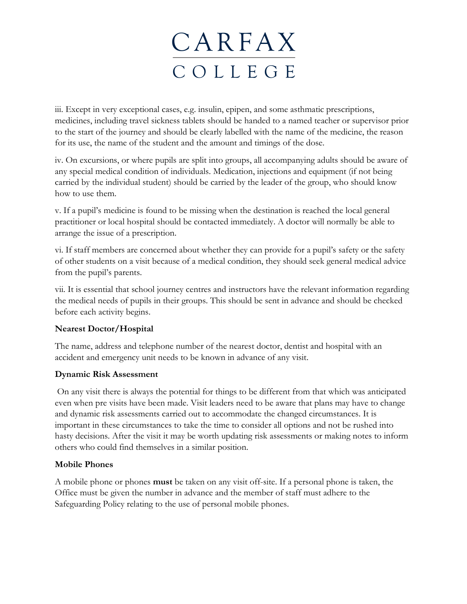iii. Except in very exceptional cases, e.g. insulin, epipen, and some asthmatic prescriptions, medicines, including travel sickness tablets should be handed to a named teacher or supervisor prior to the start of the journey and should be clearly labelled with the name of the medicine, the reason for its use, the name of the student and the amount and timings of the dose.

iv. On excursions, or where pupils are split into groups, all accompanying adults should be aware of any special medical condition of individuals. Medication, injections and equipment (if not being carried by the individual student) should be carried by the leader of the group, who should know how to use them.

v. If a pupil's medicine is found to be missing when the destination is reached the local general practitioner or local hospital should be contacted immediately. A doctor will normally be able to arrange the issue of a prescription.

vi. If staff members are concerned about whether they can provide for a pupil's safety or the safety of other students on a visit because of a medical condition, they should seek general medical advice from the pupil's parents.

vii. It is essential that school journey centres and instructors have the relevant information regarding the medical needs of pupils in their groups. This should be sent in advance and should be checked before each activity begins.

### **Nearest Doctor/Hospital**

The name, address and telephone number of the nearest doctor, dentist and hospital with an accident and emergency unit needs to be known in advance of any visit.

### **Dynamic Risk Assessment**

On any visit there is always the potential for things to be different from that which was anticipated even when pre visits have been made. Visit leaders need to be aware that plans may have to change and dynamic risk assessments carried out to accommodate the changed circumstances. It is important in these circumstances to take the time to consider all options and not be rushed into hasty decisions. After the visit it may be worth updating risk assessments or making notes to inform others who could find themselves in a similar position.

### **Mobile Phones**

A mobile phone or phones **must** be taken on any visit off-site. If a personal phone is taken, the Office must be given the number in advance and the member of staff must adhere to the Safeguarding Policy relating to the use of personal mobile phones.